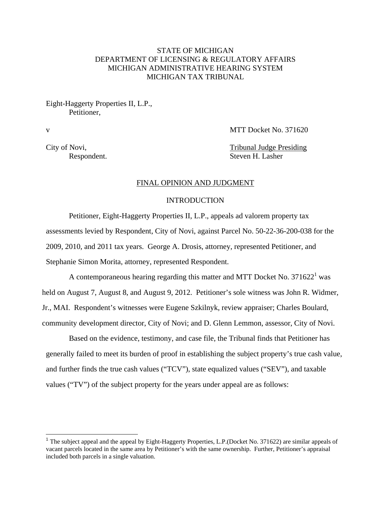# STATE OF MICHIGAN DEPARTMENT OF LICENSING & REGULATORY AFFAIRS MICHIGAN ADMINISTRATIVE HEARING SYSTEM MICHIGAN TAX TRIBUNAL

## Eight-Haggerty Properties II, L.P., Petitioner,

1

v MTT Docket No. 371620

City of Novi, Tribunal Judge Presiding Respondent. Steven H. Lasher

#### FINAL OPINION AND JUDGMENT

## INTRODUCTION

Petitioner, Eight-Haggerty Properties II, L.P., appeals ad valorem property tax assessments levied by Respondent, City of Novi, against Parcel No. 50-22-36-200-038 for the 2009, 2010, and 2011 tax years. George A. Drosis, attorney, represented Petitioner, and Stephanie Simon Morita, attorney, represented Respondent.

A contemporaneous hearing regarding this matter and MTT Docket No. 371622<sup>1</sup> was held on August 7, August 8, and August 9, 2012. Petitioner's sole witness was John R. Widmer, Jr., MAI. Respondent's witnesses were Eugene Szkilnyk, review appraiser; Charles Boulard, community development director, City of Novi; and D. Glenn Lemmon, assessor, City of Novi.

 Based on the evidence, testimony, and case file, the Tribunal finds that Petitioner has generally failed to meet its burden of proof in establishing the subject property's true cash value, and further finds the true cash values ("TCV"), state equalized values ("SEV"), and taxable values ("TV") of the subject property for the years under appeal are as follows:

<sup>&</sup>lt;sup>1</sup> The subject appeal and the appeal by Eight-Haggerty Properties, L.P.(Docket No. 371622) are similar appeals of vacant parcels located in the same area by Petitioner's with the same ownership. Further, Petitioner's appraisal included both parcels in a single valuation.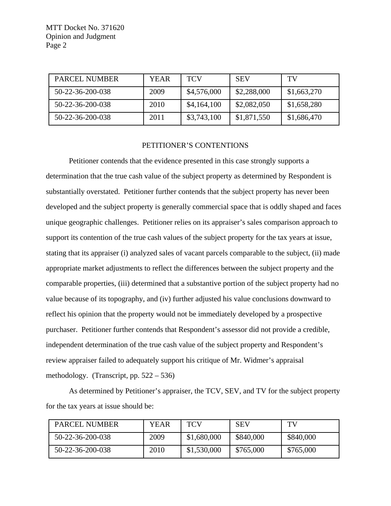| PARCEL NUMBER    | <b>YEAR</b> | <b>TCV</b>  | <b>SEV</b>  | TV          |
|------------------|-------------|-------------|-------------|-------------|
| 50-22-36-200-038 | 2009        | \$4,576,000 | \$2,288,000 | \$1,663,270 |
| 50-22-36-200-038 | 2010        | \$4,164,100 | \$2,082,050 | \$1,658,280 |
| 50-22-36-200-038 | 2011        | \$3,743,100 | \$1,871,550 | \$1,686,470 |

#### PETITIONER'S CONTENTIONS

Petitioner contends that the evidence presented in this case strongly supports a determination that the true cash value of the subject property as determined by Respondent is substantially overstated. Petitioner further contends that the subject property has never been developed and the subject property is generally commercial space that is oddly shaped and faces unique geographic challenges. Petitioner relies on its appraiser's sales comparison approach to support its contention of the true cash values of the subject property for the tax years at issue, stating that its appraiser (i) analyzed sales of vacant parcels comparable to the subject, (ii) made appropriate market adjustments to reflect the differences between the subject property and the comparable properties, (iii) determined that a substantive portion of the subject property had no value because of its topography, and (iv) further adjusted his value conclusions downward to reflect his opinion that the property would not be immediately developed by a prospective purchaser. Petitioner further contends that Respondent's assessor did not provide a credible, independent determination of the true cash value of the subject property and Respondent's review appraiser failed to adequately support his critique of Mr. Widmer's appraisal methodology. (Transcript, pp. 522 – 536)

As determined by Petitioner's appraiser, the TCV, SEV, and TV for the subject property for the tax years at issue should be:

| PARCEL NUMBER    | <b>YEAR</b> | TCV         | <b>SEV</b> | TV        |
|------------------|-------------|-------------|------------|-----------|
| 50-22-36-200-038 | 2009        | \$1,680,000 | \$840,000  | \$840,000 |
| 50-22-36-200-038 | 2010        | \$1,530,000 | \$765,000  | \$765,000 |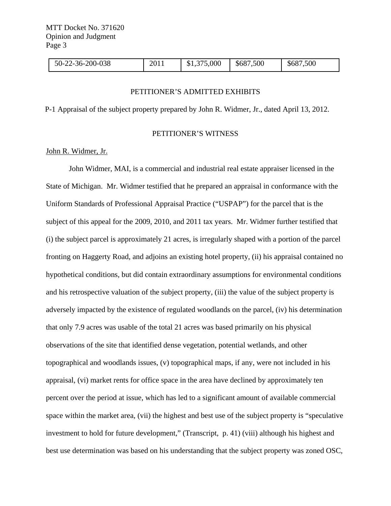| 2-36-200-038<br>50-22 | 2011 | \$1,375,000 | ,500<br>\$687 | \$687,500 |  |
|-----------------------|------|-------------|---------------|-----------|--|
|-----------------------|------|-------------|---------------|-----------|--|

#### PETITIONER'S ADMITTED EXHIBITS

P-1 Appraisal of the subject property prepared by John R. Widmer, Jr., dated April 13, 2012.

#### PETITIONER'S WITNESS

## John R. Widmer, Jr.

 John Widmer, MAI, is a commercial and industrial real estate appraiser licensed in the State of Michigan. Mr. Widmer testified that he prepared an appraisal in conformance with the Uniform Standards of Professional Appraisal Practice ("USPAP") for the parcel that is the subject of this appeal for the 2009, 2010, and 2011 tax years. Mr. Widmer further testified that (i) the subject parcel is approximately 21 acres, is irregularly shaped with a portion of the parcel fronting on Haggerty Road, and adjoins an existing hotel property, (ii) his appraisal contained no hypothetical conditions, but did contain extraordinary assumptions for environmental conditions and his retrospective valuation of the subject property, (iii) the value of the subject property is adversely impacted by the existence of regulated woodlands on the parcel, (iv) his determination that only 7.9 acres was usable of the total 21 acres was based primarily on his physical observations of the site that identified dense vegetation, potential wetlands, and other topographical and woodlands issues, (v) topographical maps, if any, were not included in his appraisal, (vi) market rents for office space in the area have declined by approximately ten percent over the period at issue, which has led to a significant amount of available commercial space within the market area, (vii) the highest and best use of the subject property is "speculative investment to hold for future development," (Transcript, p. 41) (viii) although his highest and best use determination was based on his understanding that the subject property was zoned OSC,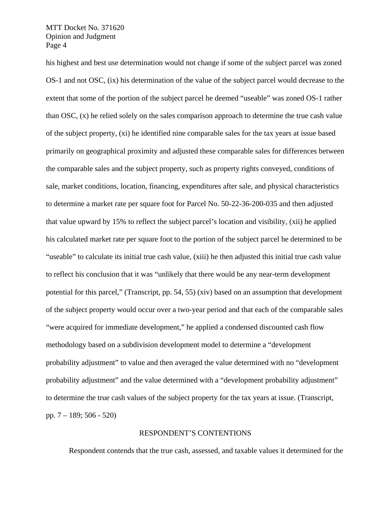his highest and best use determination would not change if some of the subject parcel was zoned OS-1 and not OSC, (ix) his determination of the value of the subject parcel would decrease to the extent that some of the portion of the subject parcel he deemed "useable" was zoned OS-1 rather than OSC, (x) he relied solely on the sales comparison approach to determine the true cash value of the subject property, (xi) he identified nine comparable sales for the tax years at issue based primarily on geographical proximity and adjusted these comparable sales for differences between the comparable sales and the subject property, such as property rights conveyed, conditions of sale, market conditions, location, financing, expenditures after sale, and physical characteristics to determine a market rate per square foot for Parcel No. 50-22-36-200-035 and then adjusted that value upward by 15% to reflect the subject parcel's location and visibility, (xii) he applied his calculated market rate per square foot to the portion of the subject parcel he determined to be "useable" to calculate its initial true cash value, (xiii) he then adjusted this initial true cash value to reflect his conclusion that it was "unlikely that there would be any near-term development potential for this parcel," (Transcript, pp. 54, 55) (xiv) based on an assumption that development of the subject property would occur over a two-year period and that each of the comparable sales "were acquired for immediate development," he applied a condensed discounted cash flow methodology based on a subdivision development model to determine a "development probability adjustment" to value and then averaged the value determined with no "development probability adjustment" and the value determined with a "development probability adjustment" to determine the true cash values of the subject property for the tax years at issue. (Transcript, pp. 7 – 189; 506 - 520)

#### RESPONDENT'S CONTENTIONS

Respondent contends that the true cash, assessed, and taxable values it determined for the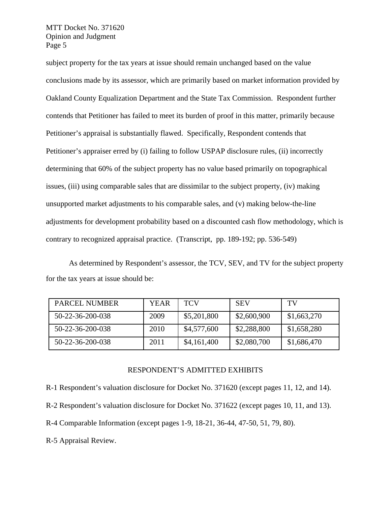subject property for the tax years at issue should remain unchanged based on the value conclusions made by its assessor, which are primarily based on market information provided by Oakland County Equalization Department and the State Tax Commission. Respondent further contends that Petitioner has failed to meet its burden of proof in this matter, primarily because Petitioner's appraisal is substantially flawed. Specifically, Respondent contends that Petitioner's appraiser erred by (i) failing to follow USPAP disclosure rules, (ii) incorrectly determining that 60% of the subject property has no value based primarily on topographical issues, (iii) using comparable sales that are dissimilar to the subject property, (iv) making unsupported market adjustments to his comparable sales, and (v) making below-the-line adjustments for development probability based on a discounted cash flow methodology, which is contrary to recognized appraisal practice. (Transcript, pp. 189-192; pp. 536-549)

As determined by Respondent's assessor, the TCV, SEV, and TV for the subject property for the tax years at issue should be:

| <b>PARCEL NUMBER</b> | <b>YEAR</b> | TCV         | <b>SEV</b>  | TV          |
|----------------------|-------------|-------------|-------------|-------------|
| 50-22-36-200-038     | 2009        | \$5,201,800 | \$2,600,900 | \$1,663,270 |
| 50-22-36-200-038     | 2010        | \$4,577,600 | \$2,288,800 | \$1,658,280 |
| 50-22-36-200-038     | 2011        | \$4,161,400 | \$2,080,700 | \$1,686,470 |

#### RESPONDENT'S ADMITTED EXHIBITS

R-1 Respondent's valuation disclosure for Docket No. 371620 (except pages 11, 12, and 14).

R-2 Respondent's valuation disclosure for Docket No. 371622 (except pages 10, 11, and 13).

R-4 Comparable Information (except pages 1-9, 18-21, 36-44, 47-50, 51, 79, 80).

R-5 Appraisal Review.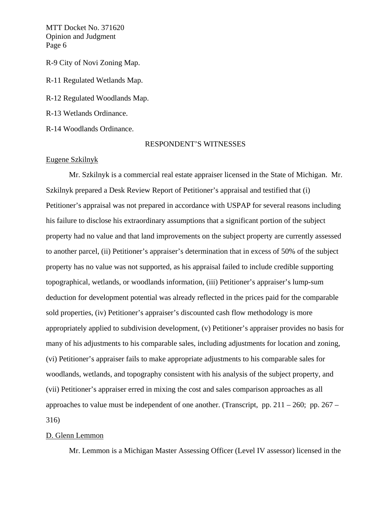R-9 City of Novi Zoning Map. R-11 Regulated Wetlands Map. R-12 Regulated Woodlands Map. R-13 Wetlands Ordinance.

R-14 Woodlands Ordinance.

## RESPONDENT'S WITNESSES

## Eugene Szkilnyk

 Mr. Szkilnyk is a commercial real estate appraiser licensed in the State of Michigan. Mr. Szkilnyk prepared a Desk Review Report of Petitioner's appraisal and testified that (i) Petitioner's appraisal was not prepared in accordance with USPAP for several reasons including his failure to disclose his extraordinary assumptions that a significant portion of the subject property had no value and that land improvements on the subject property are currently assessed to another parcel, (ii) Petitioner's appraiser's determination that in excess of 50% of the subject property has no value was not supported, as his appraisal failed to include credible supporting topographical, wetlands, or woodlands information, (iii) Petitioner's appraiser's lump-sum deduction for development potential was already reflected in the prices paid for the comparable sold properties, (iv) Petitioner's appraiser's discounted cash flow methodology is more appropriately applied to subdivision development, (v) Petitioner's appraiser provides no basis for many of his adjustments to his comparable sales, including adjustments for location and zoning, (vi) Petitioner's appraiser fails to make appropriate adjustments to his comparable sales for woodlands, wetlands, and topography consistent with his analysis of the subject property, and (vii) Petitioner's appraiser erred in mixing the cost and sales comparison approaches as all approaches to value must be independent of one another. (Transcript, pp.  $211 - 260$ ; pp.  $267 -$ 316)

#### D. Glenn Lemmon

Mr. Lemmon is a Michigan Master Assessing Officer (Level IV assessor) licensed in the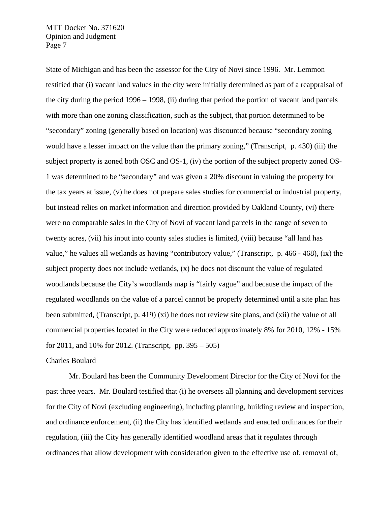State of Michigan and has been the assessor for the City of Novi since 1996. Mr. Lemmon testified that (i) vacant land values in the city were initially determined as part of a reappraisal of the city during the period 1996 – 1998, (ii) during that period the portion of vacant land parcels with more than one zoning classification, such as the subject, that portion determined to be "secondary" zoning (generally based on location) was discounted because "secondary zoning would have a lesser impact on the value than the primary zoning," (Transcript, p. 430) (iii) the subject property is zoned both OSC and OS-1, (iv) the portion of the subject property zoned OS-1 was determined to be "secondary" and was given a 20% discount in valuing the property for the tax years at issue, (v) he does not prepare sales studies for commercial or industrial property, but instead relies on market information and direction provided by Oakland County, (vi) there were no comparable sales in the City of Novi of vacant land parcels in the range of seven to twenty acres, (vii) his input into county sales studies is limited, (viii) because "all land has value," he values all wetlands as having "contributory value," (Transcript, p. 466 - 468), (ix) the subject property does not include wetlands,  $(x)$  he does not discount the value of regulated woodlands because the City's woodlands map is "fairly vague" and because the impact of the regulated woodlands on the value of a parcel cannot be properly determined until a site plan has been submitted, (Transcript, p. 419) (xi) he does not review site plans, and (xii) the value of all commercial properties located in the City were reduced approximately 8% for 2010, 12% - 15% for 2011, and 10% for 2012. (Transcript, pp. 395 – 505)

#### Charles Boulard

 Mr. Boulard has been the Community Development Director for the City of Novi for the past three years. Mr. Boulard testified that (i) he oversees all planning and development services for the City of Novi (excluding engineering), including planning, building review and inspection, and ordinance enforcement, (ii) the City has identified wetlands and enacted ordinances for their regulation, (iii) the City has generally identified woodland areas that it regulates through ordinances that allow development with consideration given to the effective use of, removal of,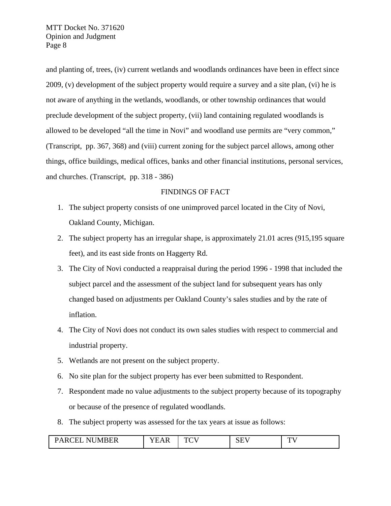and planting of, trees, (iv) current wetlands and woodlands ordinances have been in effect since 2009, (v) development of the subject property would require a survey and a site plan, (vi) he is not aware of anything in the wetlands, woodlands, or other township ordinances that would preclude development of the subject property, (vii) land containing regulated woodlands is allowed to be developed "all the time in Novi" and woodland use permits are "very common," (Transcript, pp. 367, 368) and (viii) current zoning for the subject parcel allows, among other things, office buildings, medical offices, banks and other financial institutions, personal services, and churches. (Transcript, pp. 318 - 386)

## FINDINGS OF FACT

- 1. The subject property consists of one unimproved parcel located in the City of Novi, Oakland County, Michigan.
- 2. The subject property has an irregular shape, is approximately 21.01 acres (915,195 square feet), and its east side fronts on Haggerty Rd.
- 3. The City of Novi conducted a reappraisal during the period 1996 1998 that included the subject parcel and the assessment of the subject land for subsequent years has only changed based on adjustments per Oakland County's sales studies and by the rate of inflation.
- 4. The City of Novi does not conduct its own sales studies with respect to commercial and industrial property.
- 5. Wetlands are not present on the subject property.
- 6. No site plan for the subject property has ever been submitted to Respondent.
- 7. Respondent made no value adjustments to the subject property because of its topography or because of the presence of regulated woodlands.
- 8. The subject property was assessed for the tax years at issue as follows:

| <b>NUMBER</b><br><b>PARC</b><br>`H`I<br>11 VIII | ---<br>$\Delta$<br>$\mathbf{v}$ .<br>. .<br>- 51 | T <sub>0</sub><br>໋ | $G \Gamma T$<br>. .<br>نلان | T <sub>T</sub> |
|-------------------------------------------------|--------------------------------------------------|---------------------|-----------------------------|----------------|
|-------------------------------------------------|--------------------------------------------------|---------------------|-----------------------------|----------------|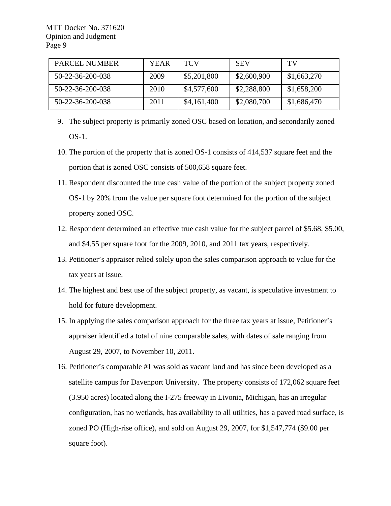| PARCEL NUMBER    | YEAR | <b>TCV</b>  | <b>SEV</b>  | TV          |
|------------------|------|-------------|-------------|-------------|
| 50-22-36-200-038 | 2009 | \$5,201,800 | \$2,600,900 | \$1,663,270 |
| 50-22-36-200-038 | 2010 | \$4,577,600 | \$2,288,800 | \$1,658,200 |
| 50-22-36-200-038 | 2011 | \$4,161,400 | \$2,080,700 | \$1,686,470 |

- 9. The subject property is primarily zoned OSC based on location, and secondarily zoned OS-1.
- 10. The portion of the property that is zoned OS-1 consists of 414,537 square feet and the portion that is zoned OSC consists of 500,658 square feet.
- 11. Respondent discounted the true cash value of the portion of the subject property zoned OS-1 by 20% from the value per square foot determined for the portion of the subject property zoned OSC.
- 12. Respondent determined an effective true cash value for the subject parcel of \$5.68, \$5.00, and \$4.55 per square foot for the 2009, 2010, and 2011 tax years, respectively.
- 13. Petitioner's appraiser relied solely upon the sales comparison approach to value for the tax years at issue.
- 14. The highest and best use of the subject property, as vacant, is speculative investment to hold for future development.
- 15. In applying the sales comparison approach for the three tax years at issue, Petitioner's appraiser identified a total of nine comparable sales, with dates of sale ranging from August 29, 2007, to November 10, 2011.
- 16. Petitioner's comparable #1 was sold as vacant land and has since been developed as a satellite campus for Davenport University. The property consists of 172,062 square feet (3.950 acres) located along the I-275 freeway in Livonia, Michigan, has an irregular configuration, has no wetlands, has availability to all utilities, has a paved road surface, is zoned PO (High-rise office), and sold on August 29, 2007, for \$1,547,774 (\$9.00 per square foot).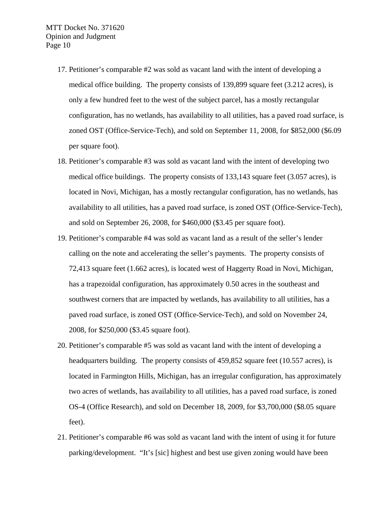- 17. Petitioner's comparable #2 was sold as vacant land with the intent of developing a medical office building. The property consists of 139,899 square feet (3.212 acres), is only a few hundred feet to the west of the subject parcel, has a mostly rectangular configuration, has no wetlands, has availability to all utilities, has a paved road surface, is zoned OST (Office-Service-Tech), and sold on September 11, 2008, for \$852,000 (\$6.09 per square foot).
- 18. Petitioner's comparable #3 was sold as vacant land with the intent of developing two medical office buildings. The property consists of 133,143 square feet (3.057 acres), is located in Novi, Michigan, has a mostly rectangular configuration, has no wetlands, has availability to all utilities, has a paved road surface, is zoned OST (Office-Service-Tech), and sold on September 26, 2008, for \$460,000 (\$3.45 per square foot).
- 19. Petitioner's comparable #4 was sold as vacant land as a result of the seller's lender calling on the note and accelerating the seller's payments. The property consists of 72,413 square feet (1.662 acres), is located west of Haggerty Road in Novi, Michigan, has a trapezoidal configuration, has approximately 0.50 acres in the southeast and southwest corners that are impacted by wetlands, has availability to all utilities, has a paved road surface, is zoned OST (Office-Service-Tech), and sold on November 24, 2008, for \$250,000 (\$3.45 square foot).
- 20. Petitioner's comparable #5 was sold as vacant land with the intent of developing a headquarters building. The property consists of 459,852 square feet (10.557 acres), is located in Farmington Hills, Michigan, has an irregular configuration, has approximately two acres of wetlands, has availability to all utilities, has a paved road surface, is zoned OS-4 (Office Research), and sold on December 18, 2009, for \$3,700,000 (\$8.05 square feet).
- 21. Petitioner's comparable #6 was sold as vacant land with the intent of using it for future parking/development. "It's [sic] highest and best use given zoning would have been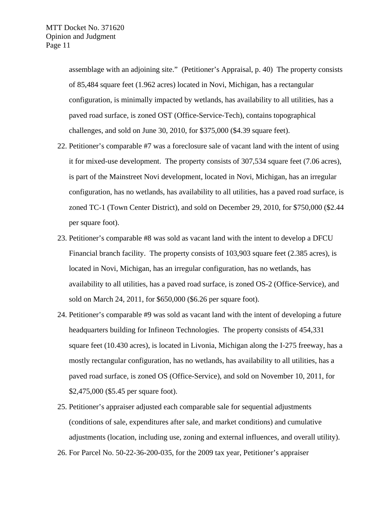assemblage with an adjoining site." (Petitioner's Appraisal, p. 40) The property consists of 85,484 square feet (1.962 acres) located in Novi, Michigan, has a rectangular configuration, is minimally impacted by wetlands, has availability to all utilities, has a paved road surface, is zoned OST (Office-Service-Tech), contains topographical challenges, and sold on June 30, 2010, for \$375,000 (\$4.39 square feet).

- 22. Petitioner's comparable #7 was a foreclosure sale of vacant land with the intent of using it for mixed-use development. The property consists of 307,534 square feet (7.06 acres), is part of the Mainstreet Novi development, located in Novi, Michigan, has an irregular configuration, has no wetlands, has availability to all utilities, has a paved road surface, is zoned TC-1 (Town Center District), and sold on December 29, 2010, for \$750,000 (\$2.44 per square foot).
- 23. Petitioner's comparable #8 was sold as vacant land with the intent to develop a DFCU Financial branch facility. The property consists of 103,903 square feet (2.385 acres), is located in Novi, Michigan, has an irregular configuration, has no wetlands, has availability to all utilities, has a paved road surface, is zoned OS-2 (Office-Service), and sold on March 24, 2011, for \$650,000 (\$6.26 per square foot).
- 24. Petitioner's comparable #9 was sold as vacant land with the intent of developing a future headquarters building for Infineon Technologies. The property consists of 454,331 square feet (10.430 acres), is located in Livonia, Michigan along the I-275 freeway, has a mostly rectangular configuration, has no wetlands, has availability to all utilities, has a paved road surface, is zoned OS (Office-Service), and sold on November 10, 2011, for \$2,475,000 (\$5.45 per square foot).
- 25. Petitioner's appraiser adjusted each comparable sale for sequential adjustments (conditions of sale, expenditures after sale, and market conditions) and cumulative adjustments (location, including use, zoning and external influences, and overall utility).
- 26. For Parcel No. 50-22-36-200-035, for the 2009 tax year, Petitioner's appraiser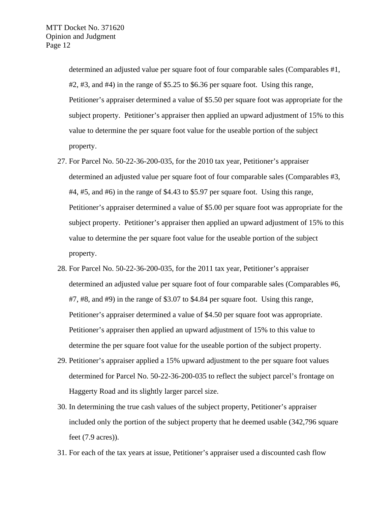determined an adjusted value per square foot of four comparable sales (Comparables #1,  $#2, #3$ , and  $#4$ ) in the range of \$5.25 to \$6.36 per square foot. Using this range, Petitioner's appraiser determined a value of \$5.50 per square foot was appropriate for the subject property. Petitioner's appraiser then applied an upward adjustment of 15% to this value to determine the per square foot value for the useable portion of the subject property.

- 27. For Parcel No. 50-22-36-200-035, for the 2010 tax year, Petitioner's appraiser determined an adjusted value per square foot of four comparable sales (Comparables #3, #4, #5, and #6) in the range of \$4.43 to \$5.97 per square foot. Using this range, Petitioner's appraiser determined a value of \$5.00 per square foot was appropriate for the subject property. Petitioner's appraiser then applied an upward adjustment of 15% to this value to determine the per square foot value for the useable portion of the subject property.
- 28. For Parcel No. 50-22-36-200-035, for the 2011 tax year, Petitioner's appraiser determined an adjusted value per square foot of four comparable sales (Comparables #6, #7, #8, and #9) in the range of \$3.07 to \$4.84 per square foot. Using this range, Petitioner's appraiser determined a value of \$4.50 per square foot was appropriate. Petitioner's appraiser then applied an upward adjustment of 15% to this value to determine the per square foot value for the useable portion of the subject property.
- 29. Petitioner's appraiser applied a 15% upward adjustment to the per square foot values determined for Parcel No. 50-22-36-200-035 to reflect the subject parcel's frontage on Haggerty Road and its slightly larger parcel size.
- 30. In determining the true cash values of the subject property, Petitioner's appraiser included only the portion of the subject property that he deemed usable (342,796 square feet (7.9 acres)).
- 31. For each of the tax years at issue, Petitioner's appraiser used a discounted cash flow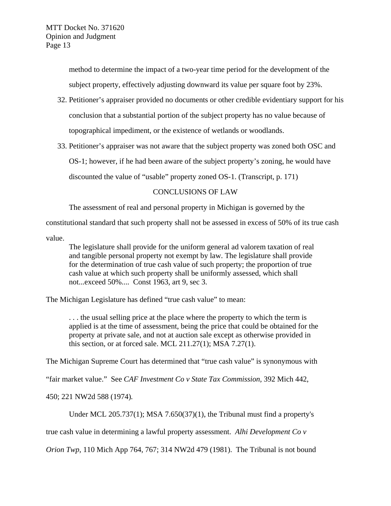method to determine the impact of a two-year time period for the development of the subject property, effectively adjusting downward its value per square foot by 23%.

- 32. Petitioner's appraiser provided no documents or other credible evidentiary support for his conclusion that a substantial portion of the subject property has no value because of topographical impediment, or the existence of wetlands or woodlands.
- 33. Petitioner's appraiser was not aware that the subject property was zoned both OSC and OS-1; however, if he had been aware of the subject property's zoning, he would have discounted the value of "usable" property zoned OS-1. (Transcript, p. 171)

# CONCLUSIONS OF LAW

The assessment of real and personal property in Michigan is governed by the

constitutional standard that such property shall not be assessed in excess of 50% of its true cash

value.

The legislature shall provide for the uniform general ad valorem taxation of real and tangible personal property not exempt by law. The legislature shall provide for the determination of true cash value of such property; the proportion of true cash value at which such property shall be uniformly assessed, which shall not...exceed 50%.... Const 1963, art 9, sec 3.

The Michigan Legislature has defined "true cash value" to mean:

. . . the usual selling price at the place where the property to which the term is applied is at the time of assessment, being the price that could be obtained for the property at private sale, and not at auction sale except as otherwise provided in this section, or at forced sale. MCL  $211.27(1)$ ; MSA  $7.27(1)$ .

The Michigan Supreme Court has determined that "true cash value" is synonymous with

"fair market value." See *CAF Investment Co v State Tax Commission,* 392 Mich 442,

450; 221 NW2d 588 (1974)*.*

Under MCL 205.737(1); MSA 7.650(37)(1), the Tribunal must find a property's

true cash value in determining a lawful property assessment. *Alhi Development Co v* 

*Orion Twp,* 110 Mich App 764, 767; 314 NW2d 479 (1981). The Tribunal is not bound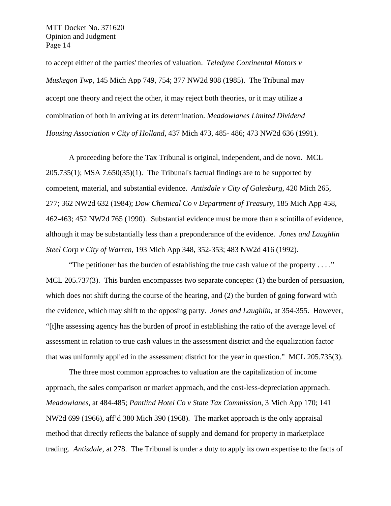to accept either of the parties' theories of valuation. *Teledyne Continental Motors v Muskegon Twp,* 145 Mich App 749, 754; 377 NW2d 908 (1985). The Tribunal may accept one theory and reject the other, it may reject both theories, or it may utilize a combination of both in arriving at its determination. *Meadowlanes Limited Dividend Housing Association v City of Holland,* 437 Mich 473, 485- 486; 473 NW2d 636 (1991).

A proceeding before the Tax Tribunal is original, independent, and de novo. MCL 205.735(1); MSA 7.650(35)(1). The Tribunal's factual findings are to be supported by competent, material, and substantial evidence. *Antisdale v City of Galesburg*, 420 Mich 265, 277; 362 NW2d 632 (1984); *Dow Chemical Co v Department of Treasury*, 185 Mich App 458, 462-463; 452 NW2d 765 (1990). Substantial evidence must be more than a scintilla of evidence, although it may be substantially less than a preponderance of the evidence. *Jones and Laughlin Steel Corp v City of Warren*, 193 Mich App 348, 352-353; 483 NW2d 416 (1992).

"The petitioner has the burden of establishing the true cash value of the property  $\dots$ ." MCL 205.737(3). This burden encompasses two separate concepts: (1) the burden of persuasion, which does not shift during the course of the hearing, and (2) the burden of going forward with the evidence, which may shift to the opposing party. *Jones and Laughlin,* at 354-355. However, "[t]he assessing agency has the burden of proof in establishing the ratio of the average level of assessment in relation to true cash values in the assessment district and the equalization factor that was uniformly applied in the assessment district for the year in question." MCL 205.735(3).

The three most common approaches to valuation are the capitalization of income approach, the sales comparison or market approach, and the cost-less-depreciation approach. *Meadowlanes*, at 484-485; *Pantlind Hotel Co v State Tax Commission*, 3 Mich App 170; 141 NW2d 699 (1966), aff'd 380 Mich 390 (1968). The market approach is the only appraisal method that directly reflects the balance of supply and demand for property in marketplace trading. *Antisdale*, at 278. The Tribunal is under a duty to apply its own expertise to the facts of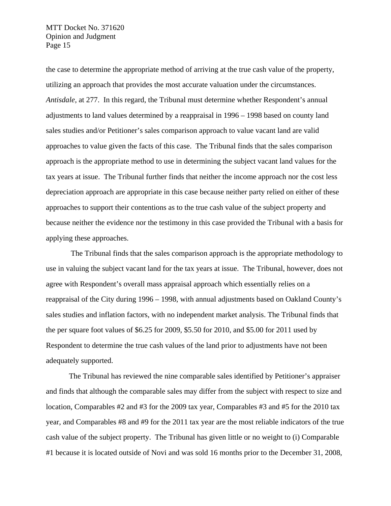the case to determine the appropriate method of arriving at the true cash value of the property, utilizing an approach that provides the most accurate valuation under the circumstances. *Antisdale*, at 277. In this regard, the Tribunal must determine whether Respondent's annual adjustments to land values determined by a reappraisal in 1996 – 1998 based on county land sales studies and/or Petitioner's sales comparison approach to value vacant land are valid approaches to value given the facts of this case. The Tribunal finds that the sales comparison approach is the appropriate method to use in determining the subject vacant land values for the tax years at issue. The Tribunal further finds that neither the income approach nor the cost less depreciation approach are appropriate in this case because neither party relied on either of these approaches to support their contentions as to the true cash value of the subject property and because neither the evidence nor the testimony in this case provided the Tribunal with a basis for applying these approaches.

 The Tribunal finds that the sales comparison approach is the appropriate methodology to use in valuing the subject vacant land for the tax years at issue. The Tribunal, however, does not agree with Respondent's overall mass appraisal approach which essentially relies on a reappraisal of the City during 1996 – 1998, with annual adjustments based on Oakland County's sales studies and inflation factors, with no independent market analysis. The Tribunal finds that the per square foot values of \$6.25 for 2009, \$5.50 for 2010, and \$5.00 for 2011 used by Respondent to determine the true cash values of the land prior to adjustments have not been adequately supported.

The Tribunal has reviewed the nine comparable sales identified by Petitioner's appraiser and finds that although the comparable sales may differ from the subject with respect to size and location, Comparables #2 and #3 for the 2009 tax year, Comparables #3 and #5 for the 2010 tax year, and Comparables #8 and #9 for the 2011 tax year are the most reliable indicators of the true cash value of the subject property. The Tribunal has given little or no weight to (i) Comparable #1 because it is located outside of Novi and was sold 16 months prior to the December 31, 2008,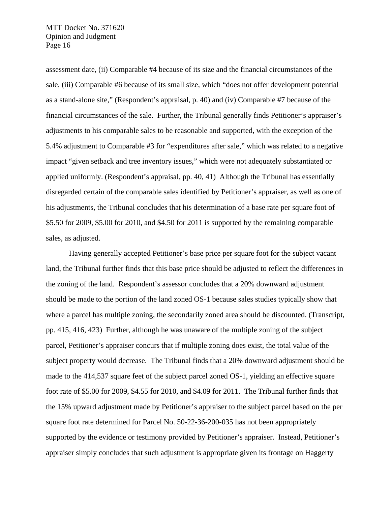assessment date, (ii) Comparable #4 because of its size and the financial circumstances of the sale, (iii) Comparable #6 because of its small size, which "does not offer development potential as a stand-alone site," (Respondent's appraisal, p. 40) and (iv) Comparable #7 because of the financial circumstances of the sale. Further, the Tribunal generally finds Petitioner's appraiser's adjustments to his comparable sales to be reasonable and supported, with the exception of the 5.4% adjustment to Comparable #3 for "expenditures after sale," which was related to a negative impact "given setback and tree inventory issues," which were not adequately substantiated or applied uniformly. (Respondent's appraisal, pp. 40, 41) Although the Tribunal has essentially disregarded certain of the comparable sales identified by Petitioner's appraiser, as well as one of his adjustments, the Tribunal concludes that his determination of a base rate per square foot of \$5.50 for 2009, \$5.00 for 2010, and \$4.50 for 2011 is supported by the remaining comparable sales, as adjusted.

Having generally accepted Petitioner's base price per square foot for the subject vacant land, the Tribunal further finds that this base price should be adjusted to reflect the differences in the zoning of the land. Respondent's assessor concludes that a 20% downward adjustment should be made to the portion of the land zoned OS-1 because sales studies typically show that where a parcel has multiple zoning, the secondarily zoned area should be discounted. (Transcript, pp. 415, 416, 423) Further, although he was unaware of the multiple zoning of the subject parcel, Petitioner's appraiser concurs that if multiple zoning does exist, the total value of the subject property would decrease. The Tribunal finds that a 20% downward adjustment should be made to the 414,537 square feet of the subject parcel zoned OS-1, yielding an effective square foot rate of \$5.00 for 2009, \$4.55 for 2010, and \$4.09 for 2011. The Tribunal further finds that the 15% upward adjustment made by Petitioner's appraiser to the subject parcel based on the per square foot rate determined for Parcel No. 50-22-36-200-035 has not been appropriately supported by the evidence or testimony provided by Petitioner's appraiser. Instead, Petitioner's appraiser simply concludes that such adjustment is appropriate given its frontage on Haggerty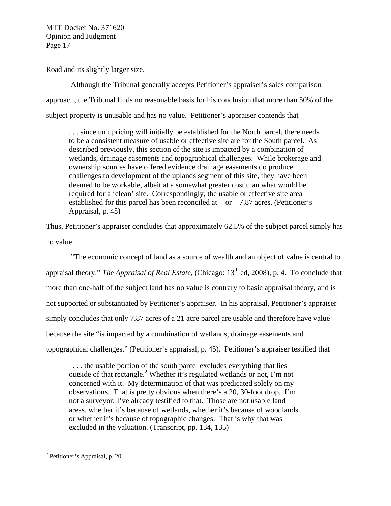Road and its slightly larger size.

 Although the Tribunal generally accepts Petitioner's appraiser's sales comparison approach, the Tribunal finds no reasonable basis for his conclusion that more than 50% of the subject property is unusable and has no value. Petitioner's appraiser contends that

. . . since unit pricing will initially be established for the North parcel, there needs to be a consistent measure of usable or effective site are for the South parcel. As described previously, this section of the site is impacted by a combination of wetlands, drainage easements and topographical challenges. While brokerage and ownership sources have offered evidence drainage easements do produce challenges to development of the uplands segment of this site, they have been deemed to be workable, albeit at a somewhat greater cost than what would be required for a 'clean' site. Correspondingly, the usable or effective site area established for this parcel has been reconciled at  $+$  or  $-$  7.87 acres. (Petitioner's Appraisal, p. 45)

Thus, Petitioner's appraiser concludes that approximately 62.5% of the subject parcel simply has no value.

 "The economic concept of land as a source of wealth and an object of value is central to appraisal theory." *The Appraisal of Real Estate*, (Chicago: 13<sup>th</sup> ed, 2008), p. 4. To conclude that more than one-half of the subject land has no value is contrary to basic appraisal theory, and is not supported or substantiated by Petitioner's appraiser. In his appraisal, Petitioner's appraiser simply concludes that only 7.87 acres of a 21 acre parcel are usable and therefore have value because the site "is impacted by a combination of wetlands, drainage easements and topographical challenges." (Petitioner's appraisal, p. 45). Petitioner's appraiser testified that

 . . . the usable portion of the south parcel excludes everything that lies outside of that rectangle.<sup>2</sup> Whether it's regulated wetlands or not, I'm not concerned with it. My determination of that was predicated solely on my observations. That is pretty obvious when there's a 20, 30-foot drop. I'm not a surveyor; I've already testified to that. Those are not usable land areas, whether it's because of wetlands, whether it's because of woodlands or whether it's because of topographic changes. That is why that was excluded in the valuation. (Transcript, pp. 134, 135)

 $\overline{a}$ 

<sup>&</sup>lt;sup>2</sup> Petitioner's Appraisal, p. 20.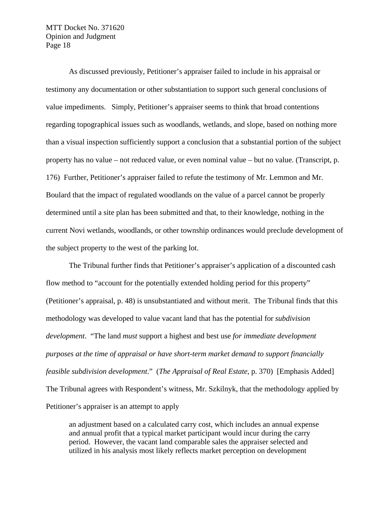As discussed previously, Petitioner's appraiser failed to include in his appraisal or testimony any documentation or other substantiation to support such general conclusions of value impediments. Simply, Petitioner's appraiser seems to think that broad contentions regarding topographical issues such as woodlands, wetlands, and slope, based on nothing more than a visual inspection sufficiently support a conclusion that a substantial portion of the subject property has no value – not reduced value, or even nominal value – but no value. (Transcript, p. 176) Further, Petitioner's appraiser failed to refute the testimony of Mr. Lemmon and Mr. Boulard that the impact of regulated woodlands on the value of a parcel cannot be properly determined until a site plan has been submitted and that, to their knowledge, nothing in the current Novi wetlands, woodlands, or other township ordinances would preclude development of the subject property to the west of the parking lot.

The Tribunal further finds that Petitioner's appraiser's application of a discounted cash flow method to "account for the potentially extended holding period for this property" (Petitioner's appraisal, p. 48) is unsubstantiated and without merit. The Tribunal finds that this methodology was developed to value vacant land that has the potential for *subdivision development*. "The land *must* support a highest and best use *for immediate development purposes at the time of appraisal or have short-term market demand to support financially feasible subdivision development*." (*The Appraisal of Real Estate*, p. 370) [Emphasis Added] The Tribunal agrees with Respondent's witness, Mr. Szkilnyk, that the methodology applied by Petitioner's appraiser is an attempt to apply

an adjustment based on a calculated carry cost, which includes an annual expense and annual profit that a typical market participant would incur during the carry period. However, the vacant land comparable sales the appraiser selected and utilized in his analysis most likely reflects market perception on development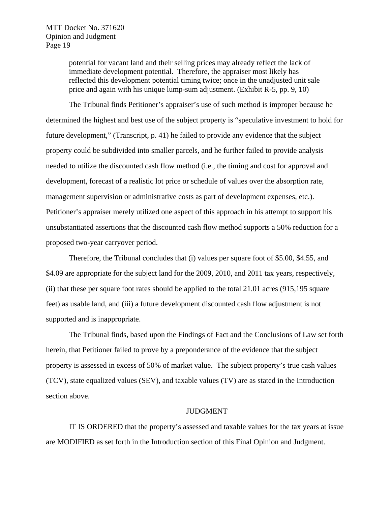potential for vacant land and their selling prices may already reflect the lack of immediate development potential. Therefore, the appraiser most likely has reflected this development potential timing twice; once in the unadjusted unit sale price and again with his unique lump-sum adjustment. (Exhibit R-5, pp. 9, 10)

The Tribunal finds Petitioner's appraiser's use of such method is improper because he determined the highest and best use of the subject property is "speculative investment to hold for future development," (Transcript, p. 41) he failed to provide any evidence that the subject property could be subdivided into smaller parcels, and he further failed to provide analysis needed to utilize the discounted cash flow method (i.e., the timing and cost for approval and development, forecast of a realistic lot price or schedule of values over the absorption rate, management supervision or administrative costs as part of development expenses, etc.). Petitioner's appraiser merely utilized one aspect of this approach in his attempt to support his unsubstantiated assertions that the discounted cash flow method supports a 50% reduction for a proposed two-year carryover period.

Therefore, the Tribunal concludes that (i) values per square foot of \$5.00, \$4.55, and \$4.09 are appropriate for the subject land for the 2009, 2010, and 2011 tax years, respectively, (ii) that these per square foot rates should be applied to the total 21.01 acres (915,195 square feet) as usable land, and (iii) a future development discounted cash flow adjustment is not supported and is inappropriate.

The Tribunal finds, based upon the Findings of Fact and the Conclusions of Law set forth herein, that Petitioner failed to prove by a preponderance of the evidence that the subject property is assessed in excess of 50% of market value. The subject property's true cash values (TCV), state equalized values (SEV), and taxable values (TV) are as stated in the Introduction section above.

#### JUDGMENT

IT IS ORDERED that the property's assessed and taxable values for the tax years at issue are MODIFIED as set forth in the Introduction section of this Final Opinion and Judgment.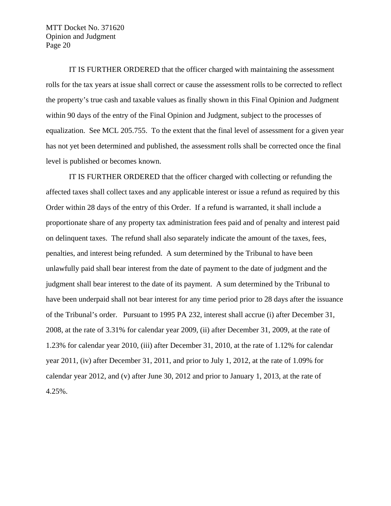IT IS FURTHER ORDERED that the officer charged with maintaining the assessment rolls for the tax years at issue shall correct or cause the assessment rolls to be corrected to reflect the property's true cash and taxable values as finally shown in this Final Opinion and Judgment within 90 days of the entry of the Final Opinion and Judgment, subject to the processes of equalization. See MCL 205.755. To the extent that the final level of assessment for a given year has not yet been determined and published, the assessment rolls shall be corrected once the final level is published or becomes known.

IT IS FURTHER ORDERED that the officer charged with collecting or refunding the affected taxes shall collect taxes and any applicable interest or issue a refund as required by this Order within 28 days of the entry of this Order. If a refund is warranted, it shall include a proportionate share of any property tax administration fees paid and of penalty and interest paid on delinquent taxes. The refund shall also separately indicate the amount of the taxes, fees, penalties, and interest being refunded. A sum determined by the Tribunal to have been unlawfully paid shall bear interest from the date of payment to the date of judgment and the judgment shall bear interest to the date of its payment. A sum determined by the Tribunal to have been underpaid shall not bear interest for any time period prior to 28 days after the issuance of the Tribunal's order. Pursuant to 1995 PA 232, interest shall accrue (i) after December 31, 2008, at the rate of 3.31% for calendar year 2009, (ii) after December 31, 2009, at the rate of 1.23% for calendar year 2010, (iii) after December 31, 2010, at the rate of 1.12% for calendar year 2011, (iv) after December 31, 2011, and prior to July 1, 2012, at the rate of 1.09% for calendar year 2012, and (v) after June 30, 2012 and prior to January 1, 2013, at the rate of 4.25%.